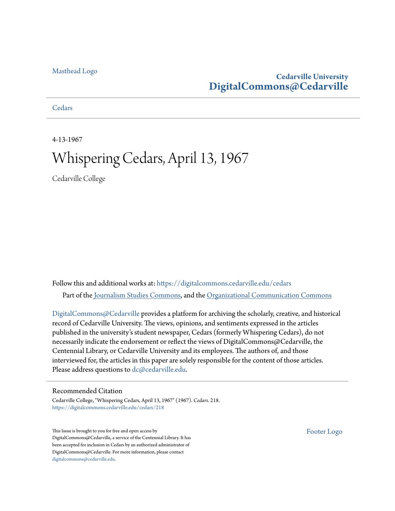### [Masthead Logo](http://www.cedarville.edu/?utm_source=digitalcommons.cedarville.edu%2Fcedars%2F218&utm_medium=PDF&utm_campaign=PDFCoverPages)

### **Cedarville University [DigitalCommons@Cedarville](https://digitalcommons.cedarville.edu?utm_source=digitalcommons.cedarville.edu%2Fcedars%2F218&utm_medium=PDF&utm_campaign=PDFCoverPages)**

**[Cedars](https://digitalcommons.cedarville.edu/cedars?utm_source=digitalcommons.cedarville.edu%2Fcedars%2F218&utm_medium=PDF&utm_campaign=PDFCoverPages)** 

4-13-1967

## Whispering Cedars, April 13, 1967

Cedarville College

Follow this and additional works at: [https://digitalcommons.cedarville.edu/cedars](https://digitalcommons.cedarville.edu/cedars?utm_source=digitalcommons.cedarville.edu%2Fcedars%2F218&utm_medium=PDF&utm_campaign=PDFCoverPages) Part of the [Journalism Studies Commons](http://network.bepress.com/hgg/discipline/333?utm_source=digitalcommons.cedarville.edu%2Fcedars%2F218&utm_medium=PDF&utm_campaign=PDFCoverPages), and the [Organizational Communication Commons](http://network.bepress.com/hgg/discipline/335?utm_source=digitalcommons.cedarville.edu%2Fcedars%2F218&utm_medium=PDF&utm_campaign=PDFCoverPages)

[DigitalCommons@Cedarville](http://digitalcommons.cedarville.edu/) provides a platform for archiving the scholarly, creative, and historical record of Cedarville University. The views, opinions, and sentiments expressed in the articles published in the university's student newspaper, Cedars (formerly Whispering Cedars), do not necessarily indicate the endorsement or reflect the views of DigitalCommons@Cedarville, the Centennial Library, or Cedarville University and its employees. The authors of, and those interviewed for, the articles in this paper are solely responsible for the content of those articles. Please address questions to [dc@cedarville.edu.](mailto:dc@cedarville.edu)

### Recommended Citation

Cedarville College, "Whispering Cedars, April 13, 1967" (1967). *Cedars*. 218. [https://digitalcommons.cedarville.edu/cedars/218](https://digitalcommons.cedarville.edu/cedars/218?utm_source=digitalcommons.cedarville.edu%2Fcedars%2F218&utm_medium=PDF&utm_campaign=PDFCoverPages)

This Issue is brought to you for free and open access by DigitalCommons@Cedarville, a service of the Centennial Library. It has been accepted for inclusion in Cedars by an authorized administrator of DigitalCommons@Cedarville. For more information, please contact [digitalcommons@cedarville.edu](mailto:digitalcommons@cedarville.edu).

[Footer Logo](http://www.cedarville.edu/Academics/Library.aspx?utm_source=digitalcommons.cedarville.edu%2Fcedars%2F218&utm_medium=PDF&utm_campaign=PDFCoverPages)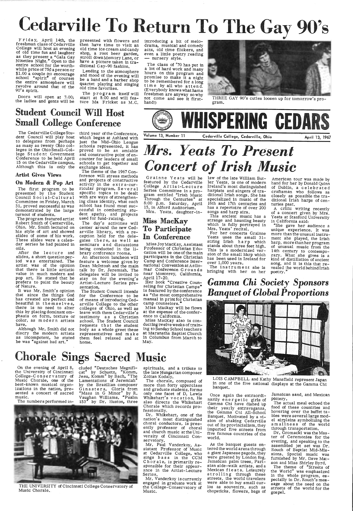# **Cedarville To Return To 1.,he Gay 90's**

Friday, April 14th, the freshman class of Cedarville College will host an evening of old time fun and laughter as they present a "Gala Gay<br>Nineties Night." Open to the entire school for the worthwhile price of *75¢* a person or \$1.00 a couple (to encourage school "spirit" of course) the entire atmosphere will revolve around that of the 90's spirit.

presented with flowers and then have time to visit an old time ice cream and candy shop, a root beer garden,<br>stroll down Memory Lane, or<br>have a picture taken in tra-

ditional Gay-90 fashion.<br>Lending to the atmosphere and mood of the evening will be a band and a barber shop quartet playing and singing old time favorites.

Doors will open at 7: *00;* the ladies and gents will be

The program itself will start at 8:00 and will feature Ma Fricket as M. C.

## Student Council Will Host Small College Conference

After the lecture and slides, a short question period was entertained. The artist was of the opinion that there is little artistic value in much modern and pop art. He stated that he prefers· to paint the beauty of Nature.

The Cedarville College Stu- dent Council will play host to delegates from perhaps<br>as many as twenty Ohio colleges in the OhioSmall-College Student Government Conference to be held April 15 on the Cedarville campus. Although this is only the

Although Mr. Smith did not discry the modern artists as incompetent, he stated he was "against bad art."

### Artist Gives Views

### On Modern & Pop Art

The first program to be presented by the Student C ouncil S o c i a 1-C u l t u r a I Committee on Friday, March 31, proved successful as was demonstrated by the large turnout of students.

 The program featured artist Robert Smith of Centerville, Ohio. Mr. Smith lectured on his style of art and showed slides of some of his work. These slides were a calendar series he had painted in oils.

introducing a bit of melodrama, musical and comedy acts, old time flickers, and even a little poetry reading — nursery style.

The class of '70 has put in<br>a lot of hard work and many hours on this program and promise to make it a night to be remembered for a long time by all who attend. (Everybody knows what hams freshmen are anyway so why not come and see it first-



not come and see it first-<br>hand!) gram.

**WHISPERING CEDARS** 

 It was Mr. Smith's opinion that since the things God has created are perfect and beautiful in themselves,<br>there is no need to alter this by placing dominant em phasis on form, texture or color, as modern artists have.

# *Mrs. Yeats To Present Concert of Irish Music*

Grainne Yeats will be featured by the Cedarville College Artist-Lecture Series Committee in a program entitled "Irish Music Through the Centuries" at 8:00 p.m. Saturday, April<br>15, in Alford Auditorium.

### Miss MacKay To Participate In Conference

third year of the Conference, which began at Ashland with<br>just the Mid-Ohio League schools represented, it has proved to be an amiable and constructive point of encounter for leaders of small schools to get together and exchange ideas.

> Her book "Creative Counseling for Christian Camps"<br>is featured by the conference as "the most comprehensive manual in print for Christian camp counselors."

The theme of the 1967 Conference will stress methods and projects of constructive activity in the extra-curricular program. Several specific topics to be dealt<br>with are ways of strengthening class identity, what each school has found most successful in combatting stu- dent apathy, and projects used for fund-raising.

> The instrument she is bringing with her on her

American tour was made by hand for her by Donald Quinn of Dublin, a celebrated craftsman who follows as closely as possible the tra ditional Irish harps of cen-<br>turies past.

The day's activities will center around the new Cedarville library, with a re ception held for the delegates there, as well as seminars and discussions being conducted in the library conference rooms.

<sup>A</sup>critic writing recently of a concert given by Mrs. Yeats at Stanford University in California said: in California said:

An afternoon luncheon will feature a welcome given by Dean Mcintosh and the main talk by Dr. Jeremiah. The delegates will be invited to stay on for the evening's Artist-Lecture Series pre sentation.

## *Gamma Chi Society Sponsors*  **Banquet of Global Proportions**

On the evening of April 8, the University of Cincinnati College-Conservatory of Music Chorale, one of the Music Chorale, one of the Lamentations of Jeremiah"

best-known musical organ- by the Brazilian composer<br>izations in the nation, pre- Ginastera, Gloria from sented a concert of sacred music.

eluded "Deutsches Magnifi cat" by Schuetz, "Komm, Jesu, Komm" by Bach, "The by the Brazilian composer<br>Ginastera, Gloria from

The Student Council intends for the Conference to be of means of introducing Cedarville College to the other colleges of Ohio, as well as leave with them Cedarville's<br>testimony as a Christian school. The Student Council requests that the student body as a whole greet these representatives and make them feel relaxed and at home.

"Mass in G Minor" by R.<br>Vaughan Williams, "Psalm 153' by Dr. Huston, three

> Dr. Whikehart, one of the nation's most distinguished<br>choral conductors, is pres-<br>ently professor of choral and church music attheUniversity of Cincinnati Conservatory.

> Mr. Paul Vanderkoy, As-<br>sistant Professor of Music at Cedarville College, who<br>sings bass in the CCM C h or a le, is primarily re-<br>sponsible for their appearance in the Artist-Lecture Series.

Mrs. Yeats, daughter-in-

Miss JoyMacKay, Assistant Professor of Christian Education will be oneofthemain participants in the Christian Camp and Conference International Convention at Asilomar Conference\_ Grounds near Monterey, California, April 17-20.

Miss Mackay will be flown at the expense of the conference to California.

Miss MacKay also is con- ducting twelve weeks of training to Sunday School teachers at Maranatha Baptist Church in Columbus from March to May.

law of the late William Butler Yeats, is one of modern harpists and singers of tra-<br>ditional Irish songs. She has specialized in music of the 16th and 17th centuries and has a repertoire of over 200 songs and harp airs.

Volume 13, Number 11 Cedarville College, Cedarville, Ohio April 13, 1967

This ancient music has a strange and haunting beauty which is fully portrayed in Mrs. Yeats' recital.

For her concerts Grainne Yeats uses the small 31string Irish harp which stands about three feet high.<br>This is a modernized ver-<br>sion of the small harp which sion of the small harp which<br>has been used in Ireland for over 1,000 years.

"She gave her audience <sup>a</sup> unique experience. It was more than the unusual instrument she played, the Irish harp, more than her program of unusual music from the 14th century to contemporary. What she gives is a kind of distillation of ancient song, and it is this that revealed the world behind Irish poetry."

## Chorale Sings Sacred Music

The numbers performed in-



THE UNIVERSITY of Cincinnati College Conservatory of Music Chorale ..

spirituals, and a tribute to the late Hungarian composer Zoltan Kodaly.

The chorale, composed of

more than forty upperclass and graduate students, forms only one facet of D. Lewis Whikehart's vocation. He also directs the Whikehart Chorale which records pro- fessionally.

Mr. Vanderkoy is currently engaged in graduate work at the College-Conservatory of Music.



LOIS CAMPBELL and Kathy Mansfield represent Japan in one of the five national displays at the Gamma Chi banquet.

Once again the extraordinarily en er getic girls of<br>Gamma Chi have dished up<br>their yearly extravaganza,<br>the Gamma Chi All-School Banquet. Motivated by a vi-<br>sion of shaking Cedarville out of its provincialism, they imported five streets from five famous countries of the world.

As the banquet guests en tered the world arena through a giant Japanese pagoda, they were greeted by London fog, Jamaican palm trees, Parisian side-walk artists, and a Mexican fiesta. Leisurely strolling through these streets, the world travelers were able to buy small curios as souvenirs, such as chopsticks, flowers, bags of

Jamaican sand, and Mexican pottery.

The actual meal echoed the food of these countries and hovering over the buffet ta-<br>bles were several large model airplains symbolizing the smallness of the world through transportation.

Dr. Gromacki was the Master of Ceremonies for the evening, and speaking to the assembled jet set was Dr. Rouch of Baptist Mid-Mis sions. Special music was furnished by Mr. Dave Matson and Miss Shirley Byrd. The theme of "Streets of<br>the World" was emphasized in the whole program, es-<br>pecially in Dr. Rouch's message about the need on the streets of the world for the gospel.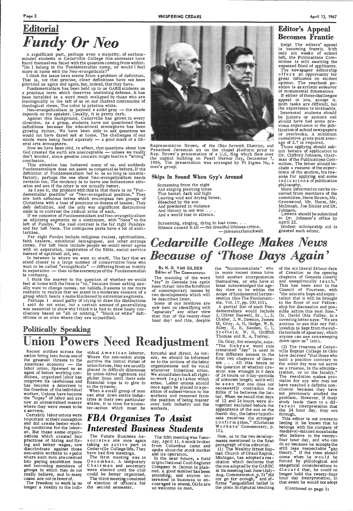•Page 2



A significant part, perhaps even a majority, of seriousminded students at Cedarville College this semester have found themselves faced with the question coming from within: "Do I belong in the Fundamentalist camp, or would I feel more at home with the Neo-evangelicals?"

I think the issue here stems from <sup>a</sup>problem of definition. That is, not that precise, clear definitions have not been provided us again and again, but, indeed, that they have.

Neo-evangelicalism is painted a solid gray  $-$  the shade depends on the speaker. Usually, it is pretty dark.

Fundamentalism has been held up to us GARB students as a precious term which deserves unstinting defense. It has been heralded as a word much maligned by those who are theologically to the left of us on our charted continuums of theological views. The color is pristine white.

As I see it, the problem with this is that there is no "Fundamentalist position" or "Neo-evangelical position." They are both nebulous terms which encompass two groups of Christians with a host of positions on dozens of issues. They defy definition, and the only way significant distinctions exist is to contrast the radical arms of each.

Against this background, Cedarville has grown in every direction. As a group, students have not questioned these definitions because the educational atmosphere has been growing richer. We have been able to ask questions we would not have dared ask at home. The challenges of our minds were being faced squarely - a good mark of a liberal arts atmosphere.

If we conceive of Fundamentalism and Neo-evangelicalism as adjoining segments on a continuum, with "Neos" to the left of Fundys," the real contrast is the far right Fundays<br>and far left Neos. The contiguous parts have a lot of similarities.

Representative Brown, of the Ohio Seventh District, and President Jeremiah sit on the chapel platform prior to Rep. Brown's presentation of a U.S. flag which .flew over the capital building on Pearl Harbor Day, December 7, 1966. The presentation was arranged by Pi Sigma Nu, a

Now we have been tbld, in effect, that questions about how God created the earth are unacceptable  $-$  unless we really don't wonder, since genuine concern might lead to a "wrong" conclusion.

> Bleached by the son And powdered in violence And victory is not won . . . And a world lost in silence.

This situation has bothered many of us, and suddenly Fundamentalism does not seem as congenial as before. If the definition of Fundamentalism fed to us so long is unsatisfactory, perhaps the one about Neo-evangelicalism needs revision too. The tendency is to leave one bothersome situation and see if the other is not actually better.

If either of these challenges appeal to you, accept it. Both tasks are difficult, but the experience is invaluable. Interested students should be juniors or seniors and should have had some previous experience in the publication of school newspapers or yearbooks. A minimum cumulative grade point average of 2.7 is required.

### WHISPERING CEDARS

## *Cedarville College Makes News*  Because of 'Those Days Again'

I think the answer to the question of whether we would feel at home with the Neos is "no," because those asking usually want to change names, not beliefs. It seems to me more realistic to realize that we stand in a moderate element of a group which bears a name blackened by extremist segments.

men's group.

Skips In Sound When Gyp's Around

Screaming, singing, dying in lost time.  $\blacksquare$ . Silence caused it all - the dreadful lifeless crime.

## Politically Speaking Union Powers Need Readjustment

Screaming from the night And singing piercing tones That banish dark and light Leaving void and drying bones.

-jamesearlstockwell

## Editor's Appeal Becomes Frantic

Certainly labor unions were important at their conception and did create better working conditions for the laborer. But these same organizations which created fair practices of hiring and firing and better wages, now discriminate against those non-union workers to <sup>a</sup>point where such men are coerced into paying exorbitant dues and becoming members of groups in which they do not really believe, and in many cases are not in favor of.

Help! The editors' appeal is becoming frantic. With only six weeks of school left, the Publications Committee is still awaiting the expected flood of applicants.

The newspaper editorship offers an opportunity for great influence on student opinion. The yearbook po-sition is an artistic endeavor of monumental dimensions.

vidual American laborer. Where the non-union shops survive the initial thrust of union forces, they are usually placed in difficult dilemmas by union-hired agitators and picket lines until their sole financial hope is to give in

vidual American laborer, forceful and direct. As vot-<br>Where the non-union shops ers, we should be informed<br>survive the initial thrust of as to the actions of the labor<br>union forces, they are usually organizations and be vo

The Future Business As sociates are once again taking an active part in Cedarville College life. They have had five meetings.

The first meeting was in December. A temporary Chairman and secretary were elected until the club could be better organized. The third meeting consisted of election of officers for Ine Future Business As-<br>
Sociates are once again day, April 11. A stock broker<br>
taking an active part in from Columbus came and<br>
Cedarville College life. They spoke about the stock market<br>
have had five meetings. In the ne

Those applying should submit letters of application to Dr. Clifford Johnson, chairman of the Publications Committee. The letter should include a resume of the experience of the student, his reasons for applying and some indications of publication philosophy. More information can be re-

ceived from members of the committee, Steve Brown, Mr. Greenwood, Mr. Hurst, Mr. Mcintosh, Joe Snider and Dr. Johnson.

Letters should be submitted to Dr. Johnson's office by April 22.

the "fundamentalists" who in more recent times have held another interpretation themselves, or who have at least acknowledged the ageday view to be within the scope of fundamental hermeneutics (See The Fundament-

Modest scholarship aid is granted each editor.

Far right Fundys include religious racists, spiritualists, faith healers, emotional demagogues, and other strange crews. Far left Neos include people we would never agree with on separation, inspiration of the Bible, social service instead of spiritual aid, etc.

In between is where we want to stan'd. The fact that we stand closer to a large number of conservative Neos who want to be called "evangelicals" — differing from us mainly in separation  $-$  than to the stereotype of the Fundamentalist is confusing.

Perhaps I stand guilty of trying to draw the distinctions I said do not exist, but a certain amount of generalizing was essential to show why I think it is bad to draw hasty conclusions based on "all or nothing," "black or white" definitions in an area where they are unjustified.

### By H. 0. VAN GILDER Editor of The Commentator

The meaning of the word "day" in Genesis has again been thrust into the forefront of contemporary issues by two developments which will be described later. Some of our brethren are

than that of the twenty-four hour day! And this, despite

Recent strikes across the nation bring into focus one of the greatest threats to the American economy — the labor union. Spawned as an agent of better working conditions, organized labor has outgrown its usefulness and has become a deterrent to

the freedom of the individual worker. Unions have become the "topsy" of labor and are now an unrestrained master where they were meant to be a servant.

The freedom to work is no longer a reality to the indi-

to the tyranny.

When a small group of men can shut down entire indus tries at their own particular whims, it is time for <sup>a</sup>coun-

now bent on identifying with  $\epsilon$ apostasy" any other view als, Vol. IV, pp. 100,101).

# *FBA Organizes To Assist Interested Business Students*

A partial list of such Fundamentalists would include J. Oliver Buswell, Sr., L. S. Chafer, J, W. Dawson, James M. Gray, A. H. Hodge, W. B, Riley, E. E. Sanden, C. I. Scofield, W. H. Griffith Thomas and R. A. Torrey.

Dr. Gray, for example, says: 'The Hebrew word yom five different senses in the first two chapters of Genesis . . . All this bears on the question of whether creation was wrought in 6 days of 24 hours or 6 day-periods of unknown length; and it will be seen that one does not necessarily contradict the Bible if he believes the latter. When we recall that days of 12 and 24 hours were altogether excluded before the appearance of the sun on the fourth day, the latter hypothesis receives the stronger confirmation." (Christian Workers' Commentary, p. 11). Now, as to the two developments mentioned in the first paragraph of this editorial: (1) The Wealthy Street Baptish Church of Grand Rapids, Michigan, has adopted a resolution which declares that the one adopted by the GARBC at its meeting last June (Julynot go fa $\bm{r}$  enough," and afthe plain Scriptural teaching

translated "day" is used in Aug. Commentator, p. 5) "did firms "unqualified belief in

of the six literal 24 hour days of Creation as the opening chapters of Genesis clearly and unequivocally teach.<sup>3</sup> This has been sent to the Council of Fourteen, with "the sincere hope and expectation that it will be brought to the floor of our Fellowship for discussion and possible action this next June." Dr. David Otis Fuller, in <sup>a</sup> covering letter says: "We are anxious to see that our Fellowship is kept from the subtle inroads of apostasy, which anyone can see are sweeping down upon us" (sic).

(2) The trustees of Cedarville Baptist College in Ohio have decreed "that those who hold a position contrary to the solar day may not serve as a trustee, in the administration, or on the faculty." The resolution makes provision for any who may not have reached a definite conclusion because they have not previously studied the problem. However, if their study leads them to a different interpretation that the 24 hour day, they are through. This editor is not averse to letting it be known that he belongs with the company of medieval-minded mossbacks who believe in the twentyfour hour day, and who can do so because he accepts the still less respectable "gap theory." If the time should come when he would be forced by philological and exegetical considerations to discard that, he could no longer hold the twenty-four hour day interpretation. In that event he would not adopt



(Continued on page 3)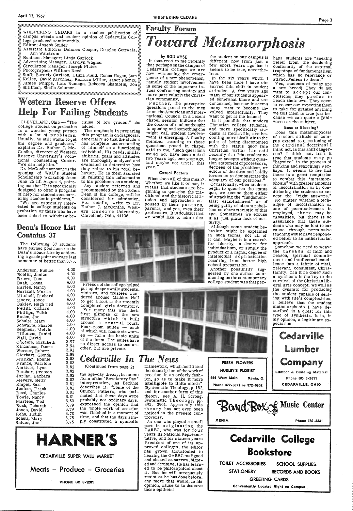## ${\bf ty}$   $\bf Form$ *Toward Metamorphosis*

|                                                                                                                                                                                                                                                                                                                                                                                            | Facult                                                                       |
|--------------------------------------------------------------------------------------------------------------------------------------------------------------------------------------------------------------------------------------------------------------------------------------------------------------------------------------------------------------------------------------------|------------------------------------------------------------------------------|
| WHISPERING CEDARS is a student publication of<br>campus events and student opinion of Cedarville Col-<br>lege produced semimonthly.<br>Editor: Joseph Snider                                                                                                                                                                                                                               |                                                                              |
| Assistant Editors: Dolores Cooper, Douglas Gottwals,<br>Ann Walstrum<br>Business Manager: Linda Garlock<br>Advertising Manager: Karolyn Wagner<br>Circulation Manager: Joseph Platek<br>Photographer: William Reed<br>Staff: Beverly Carlson, Laura Field, Donna Hogan, Sam:<br>Kelley, David Kirchner, Barbara Miller, Janet Phenix,<br>James Phipps, Lois Rumage, Rebecca Shamblin, Jon: | bу<br>It occur<br>that perh<br>Cedarvill<br>now with<br>gence of<br>namely s |

## Western Reserve Offers Help For Failing Students

ested in college students on probation or those who have been asked to withdraw be-

:::: Skillman, Sheila Solomon. :::: :::; .•.. · ........................ ·-· .. -.~-- <sup>~</sup><sup>~</sup><sup>~</sup>~ ~ ~ ~ ~ ~ ...... -........... •;• ... ·.· ............ ·:········· ·.-... ·.·.·-:.:•·:

CLEVELAND,Ohio—"The cause of low grades,"she added.

The emphasis in preparing this program is on diagnosis, especially so that the student has complete understanding of himself as a functioning individual. His needs, skills, abilities, goals and attitudes are thoroughly analyzed and evaluated to determine how they relate to his total behavior. He is them assisted in relating this information to his problems as a student. Any student referred and recommended by the Student Dean of his college, will be considered for admission. For details, write to Dr. Esther J. McConihe, West-<br>ern Reserve University, Cleveland, Ohio, 44106.



college student on probation is a worried young person with a lot of problems.<br>Usually, he still wants toget his degree and graduate, explains Dr. Esther J. Mc-Conihe, director of Western Reserve University's Vocational Counselling Center. "We can help him.

Dr. McConihe announces the opening of WRU's Student Scholarship Workshop from June 26 till August *4,* point ing out that "It is specifically designed to offer a program of help for students encountering academic problems."<br>"We are especially inter-

<sup>,</sup> ROD WYSE<br>rred to me recently laps on the campus of le College we are nessing the emergence of a new phenomenon, namely student involvement of the important issues confronting society and more particularly the Chris-

tian community.<br>Further, the perceptive questions posed to the men from the American and International Council in a recent chapel session indicate that<br>the cocoon of student thought is opening and something one might call student involvement is emerging. A faculty member reacting to these questions posed in chapel said to me, "Such questions would not have been asked two years ago, one year ago, and maybe not until this year.<sup>\*</sup>

### Dean's Honor List Contains 37

The following 37 students have earned positions on the Dean's Honor List by achieving a grade point average last semester of better than 3. 75.

### 3.88 3.88 3.83 3.82 *<u>Cedarville In The News</u>*

Friends of the college helped put up drapes while students, visitors, and trustees wandered around Maddox Hall to get a look at the recently completed girls dormitory. For many this was their first glimpse of the new structure which is built around a central court. Four-room suites - each of which will house six women -- form the basic units of the dorm. The suites have no direct access to one another, but are private.

the student on our campus is haps students are "seeking different now from just a few short years ago but it seems to be true, nevertheless.

Anderson, Eunice Boblitt, Janice Brown, Tom Daab, Donna Earles, Nancy Hartzell, Martin Mitchell, Richard Moore, Joyce Oakley, Hugh Ted Pettitt, Richard Phillips, Edith Roden, Joe Schulte, Mary Schwarm, Sharon Seigneur, Melvin Tillotson, Daniel Wall, David O'Keefe, Elizabeth Kincannon, Donná Werner, Robert Gierhart, Glenda Millikan, Bonnie France, Patricia Amstutz, Lynn Butcher, Preston Jordan, Barbara Meyers, Betty Empet, Sara Jenista, Frank Reed, Charles Towle, Nancy Martens, Ted Bush, Deborah Jones, David Rehn, Judith Schutt, Mary Snider, Joe

### Casual Factors

Although some student be-<br>havior might be explained in such terms, not all of it can. Maybe it is a search for identity, a desire for individualism, or simply the intellectual sophistication resulting from better high

Another possibility suggested by one author com-<br>menting on the contemporary college student was that per-



What does all of this mean? Whether we like it or not, it means that students are beginning to question the traditional and the historic attitudes and approaches espoused by their pastors, parents, and yes, even their professors. It is doubtful that we would like to admit that

haps students are "seeking<br>relief from the deadening conformity of the external trappings of fundamentalism which has no relevance or attractiveness to them."

4.00 4.00 4.00 4.00 4.00 4.00 4.00 4.00 4.00 4.00 4.00 4.00 4.00 4.00 4.00 4.00 4.00 3.97 3.94 3.91

(Continued from page 2)

3.82 3.82 3.82 3.81 3.81 3.81 3.81 3.80 3.79 3.79 3.78 3.75 3.75 the age-day theory, but some form of the "Revelatory Day" interpretation. As Berkhof describes it: "Some of the Church Fathers, who intimated that these days were probably not ordinary days, expressed the opinion that the whole work of creation was finished in a moment of time, and that the days sim<sup>p</sup>ly constituted a symbolic

## **HA NER'S**

### CEDARVILLE SUPER VALU MARKET

Meats - Produce - Groceries

PHONE SO 6-1201

framework, which facilitated the description of the work of creation in an orderly fash-

> (Systematic Theology, p. 152, and for another form of this theory, see A. H. Strong, theory, see A. H. Strong,<br>Systematic Theology, pp. 395, 396). Apparently this theory has not even been noticed in the present controversy.

ion, so as to make it more intelligible to finite minds"

As one who played a small part in originating the GARBC, who was for four years its National Represen tative, and for sixteen years President of one of its approved colleges, the editor has grown accustomed to<br>hearing the GARBC maligned and abused as narrow, bigoted and devisive. He has learned to be philosophical about<br>it. But he will strenuously resist as he has done before, any move that would, in his opinion, cause us to deserve those epithets!

In the six years which I have been here I have observed this shift in student attitudes. A few years ago many of our students appear ed somewhat blase and unconcerned, but now it seems many want to become involved intellectually. They want to get at the issues!

Is it possible that modern Christian college students, and more specifically students at Cedarville, are becoming more idealistic to the point of being discontented with the status quo? One Christian writer has said recently that "the student no longer accepts without ques tion statement of professors, decrees of the president, or<br>edicts of the dean and boldly edicts of the dean and boldly forces us to demonstrate the adequacy of our positions."' Occasionally, when students begin to question the status quo, we accuse them either of attacking the "fundamentalist establishment" or of being guilty of blatant rebellion so characteristic of this age. Sometimes we excuse it as just plain lack of maturity.



HURLEY'S RLORIST

Yes, students of today are <sup>a</sup>new breed! They do not want to accept our conclusions; they prefer to reach their own. They seem to resent our expecting them to take for granted anything we tell them is true just because we can quote a Bible verse on the subject.

### Bane or Blessing?

Does this metamorphosis of student attitude on campus extend to questioning of<br>the cardinal doctrines? I think not. Is this shift danger- ous? I think not. Isn't it true that students may go<br>"haywire" in the process of thinking and searching? Perhaps. It seems to me that there is a great temptation to combat this "metamorphosis" with greater amounts of indoctrination or by conditioning the students to accept the "right answers.• No matter whether a technique of indoctrination or one of permissiveness is employed, there may be casualties; but there is no assurance that those students who may be lost to our cause through permissive teaching would have responded better to an authoritarian approach.



Somehow we need to weave the threads of faith and reason, spiritual commitment and intellectual excellence into a fabric of vital, relevant, consistent, Christianity. Can it be done? Such a synthesis is the key to the survival of the Christian liberal arts concept, we well as the dynamic for producing the student capable of dealing with life's complexities. I believe that the student metamorphosis I have described is a quest for this type of synthesis. It is, in my opinion, a legitimate ex pectation.